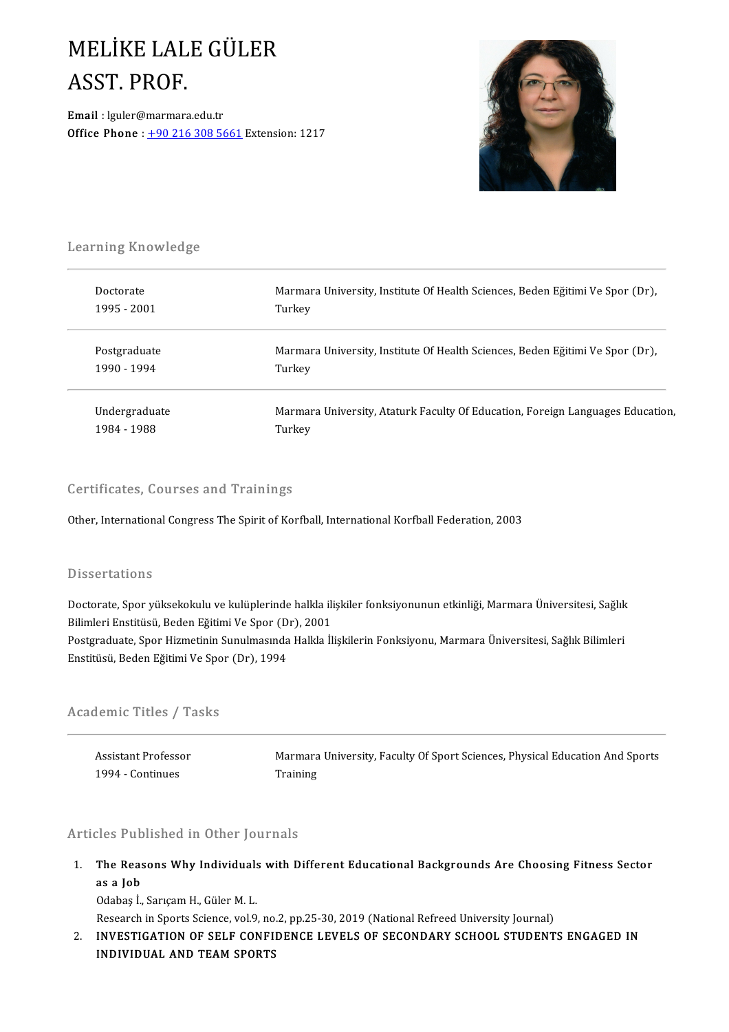## MELİKELALEGÜLER MELİKE LAL<br>ASST. PROF.<br><sup>Email : leuler@marmara</sup>

ASST. PROF.<br>Email : lguler@marmara.edu.tr<br>Office Phone : 190.216.208.56 **Email** : lguler@marmara.edu.tr<br>Office Phone :  $\pm 902163085661$  Extension: 1217



# .<br>Learning Knowledge

| Marmara University, Institute Of Health Sciences, Beden Eğitimi Ve Spor (Dr),<br>Doctorate      |  |
|-------------------------------------------------------------------------------------------------|--|
| 1995 - 2001<br>Turkey                                                                           |  |
| Marmara University, Institute Of Health Sciences, Beden Eğitimi Ve Spor (Dr),<br>Postgraduate   |  |
| 1990 - 1994<br>Turkey                                                                           |  |
| Undergraduate<br>Marmara University, Ataturk Faculty Of Education, Foreign Languages Education, |  |
| 1984 - 1988<br>Turkey                                                                           |  |

### Certificates, Courses and Trainings

Other, International Congress The Spirit of Korfball, International Korfball Federation, 2003

### **Dissertations**

Doctorate, Spor yüksekokulu ve kulüplerinde halkla ilişkiler fonksiyonunun etkinliği, Marmara Üniversitesi, Sağlık Bilbool tatrono<br>Boctorate, Spor yüksekokulu ve kulüplerinde halkla ili<br>Bilimleri Enstitüsü, Beden Eğitimi Ve Spor (Dr), 2001<br>Bostaraduate, Spor Hizmetinin Sunulmasında Halkla il Postgraduate, Spor Hizmetinin Sunulmasında Halkla İlişkilerin Fonksiyonu, Marmara Üniversitesi, Sağlık Bilimleri<br>Enstitüsü, Beden Eğitimi Ve Spor (Dr), 1994 Bilimleri Enstitüsü, Beden Eğitimi Ve Spor (D<br>Postgraduate, Spor Hizmetinin Sunulmasında<br>Enstitüsü, Beden Eğitimi Ve Spor (Dr), 1994

### Academic Titles / Tasks

1 Assistant Professor<br>Assistant Professor<br>1994 - Continues **Assistant Professo<br>1994 - Continues** 

Marmara University, Faculty Of Sport Sciences, Physical Education And Sports<br>Training **Marmara**<br>Training

## 1994 - Continues Fraining<br>Articles Published in Other Journals

Inticles Published in Other Journals<br>1. The Reasons Why Individuals with Different Educational Backgrounds Are Choosing Fitness Sector<br>- 25.2 Job The Reas<br>as a Job<br>Odebes <sup>i</sup> The Reasons Why Individuals<br>as a Job<br>Odabaş İ., Sarıçam H., Güler M. L.<br>Bassarsh in Sports Science vel 9 as a Job<br>Odabaş İ., Sarıçam H., Güler M. L.<br>Research in Sports Science, vol.9, no.2, pp.25-30, 2019 (National Refreed University Journal)<br>INVESTIC ATION OF SELE CONEIDENCE LEVELS OF SECONDARY SCHOOL STUDENT

Odabaş İ., Sarıçam H., Güler M. L.<br>Research in Sports Science, vol.9, no.2, pp.25-30, 2019 (National Refreed University Journal)<br>2. INVESTIGATION OF SELF CONFIDENCE LEVELS OF SECONDARY SCHOOL STUDENTS ENGAGED IN<br>INDIVIDUAL Research in Sports Science, vol.9, no<br>INVESTIGATION OF SELF CONFI<br>INDIVIDUAL AND TEAM SPORTS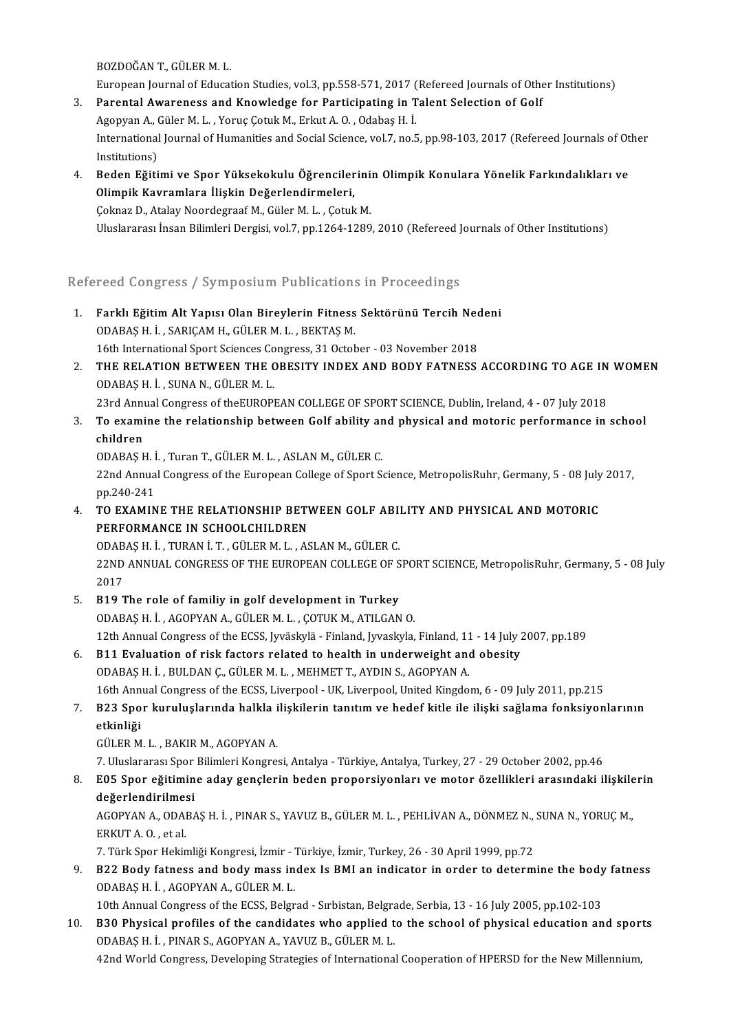BOZDOĞAN T., GÜLER M.L.

European Journal of Education Studies, vol.3, pp.558-571, 2017 (Refereed Journals of Other Institutions)

- 3. Parental Awareness and Knowledge for Participating in Talent Selection of Golf European Journal of Education Studies, vol.3, pp.558-571, 2017 (<br>Parental Awareness and Knowledge for Participating in T<br>Agopyan A., Güler M. L. , Yoruç Çotuk M., Erkut A. O. , Odabaş H. İ.<br>International Journal of Humanit International Journal of Humanities and Social Science, vol.7, no.5, pp.98-103, 2017 (Refereed Journals of Other<br>Institutions) Agopyan A., (<br>International<br>Institutions)<br>Peden Făiti International Journal of Humanities and Social Science, vol.7, no.5, pp.98-103, 2017 (Refereed Journals of Ot<br>Institutions)<br>4. Beden Eğitimi ve Spor Yüksekokulu Öğrencilerinin Olimpik Konulara Yönelik Farkındalıkları ve<br>Ol
- Institutions)<br>Beden Eğitimi ve Spor Yüksekokulu Öğrenciler<br>Olimpik Kavramlara İlişkin Değerlendirmeleri,<br>Celmaz D. Atalay Neordegraaf M. Güler M. L. Cetul Beden Eğitimi ve Spor Yüksekokulu Öğrencilerini:<br>Olimpik Kavramlara İlişkin Değerlendirmeleri,<br>Çoknaz D., Atalay Noordegraaf M., Güler M. L. , Çotuk M.<br>Uluslararası İnsan Bilimleri Dergisi vel 7-nn 1264-1290 Olimpik Kavramlara İlişkin Değerlendirmeleri,<br>Çoknaz D., Atalay Noordegraaf M., Güler M. L. , Çotuk M.<br>Uluslararası İnsan Bilimleri Dergisi, vol.7, pp.1264-1289, 2010 (Refereed Journals of Other Institutions)

### Refereed Congress / Symposium Publications in Proceedings

- lefereed Congress / Symposium Publications in Proceedings<br>1. Farklı Eğitim Alt Yapısı Olan Bireylerin Fitness Sektörünü Tercih Nedeni<br>2004BAS H.İ. SARICAM H.CÜLER M.J. REKTAS M Pool dongress / by mposium Publication.<br>Farklı Eğitim Alt Yapısı Olan Bireylerin Fitness<br>ODABAŞ H. İ. , SARIÇAM H., GÜLER M. L. , BEKTAŞ M. Farklı Eğitim Alt Yapısı Olan Bireylerin Fitness Sektörünü Tercih Nec<br>ODABAŞ H. İ. , SARIÇAM H., GÜLER M. L. , BEKTAŞ M.<br>16th International Sport Sciences Congress, 31 October - 03 November 2018<br>THE REL ATION BETWEEN THE O ODABAȘ H. İ. , SARIÇAM H., GÜLER M. L. , BEKTAȘ M.<br>16th International Sport Sciences Congress, 31 October - 03 November 2018<br>2. THE RELATION BETWEEN THE OBESITY INDEX AND BODY FATNESS ACCORDING TO AGE IN WOMEN<br>ODARAS H. İ.
- 16th International Sport Sciences Congress, 31 October 03 November 2018<br>THE RELATION BETWEEN THE OBESITY INDEX AND BODY FATNESS ACCORDING TO AGE IN<br>ODABAŞ H. İ. , SUNA N., GÜLER M. L.<br>23rd Annual Congress of theEUROPEAN THE RELATION BETWEEN THE OBESITY INDEX AND BODY FATNESS ACCORDING TO AGE IN<br>ODABAŞ H. İ. , SUNA N., GÜLER M. L.<br>23rd Annual Congress of theEUROPEAN COLLEGE OF SPORT SCIENCE, Dublin, Ireland, 4 - 07 July 2018<br>To avamine the 3. ODABAŞ H. İ. , SUNA N., GÜLER M. L.<br>23rd Annual Congress of theEUROPEAN COLLEGE OF SPORT SCIENCE, Dublin, Ireland, 4 - 07 July 2018<br>3. To examine the relationship between Golf ability and physical and motoric performanc

## 23rd Annu<br>**To exami<br>children**<br>ODARAS E

To examine the relationship between Golf ability ar<br>children<br>ODABAŞ H. İ. , Turan T., GÜLER M. L. , ASLAN M., GÜLER C.<br>22nd Annual Congress of the European College of Sport S.

children<br>ODABAŞ H. İ. , Turan T., GÜLER M. L. , ASLAN M., GÜLER C.<br>22nd Annual Congress of the European College of Sport Science, MetropolisRuhr, Germany, 5 - 08 July 2017,<br>pp 240-241 ODABAŞ H. İ<br>22nd Annua<br>pp.240-241<br>TO EXAMIN 22nd Annual Congress of the European College of Sport Science, MetropolisRuhr, Germany, 5 - 08 July<br>pp.240-241<br>4. TO EXAMINE THE RELATIONSHIP BETWEEN GOLF ABILITY AND PHYSICAL AND MOTORIC<br>performance in School Children

pp.240-241<br>TO EXAMINE THE RELATIONSHIP BETY<br>PERFORMANCE IN SCHOOLCHILDREN<br>ODARAS H I TURAN I T-CÜLER M L-AS TO EXAMINE THE RELATIONSHIP BETWEEN GOLF ABI!<br>PERFORMANCE IN SCHOOLCHILDREN<br>ODABAŞ H. İ. , TURAN İ. T. , GÜLER M. L. , ASLAN M., GÜLER C.<br>22ND ANNUAL CONCRESS OF THE FUROREAN COLLECE OF S

PERFORMANCE IN SCHOOLCHILDREN<br>ODABAŞ H. İ. , TURAN İ. T. , GÜLER M. L. , ASLAN M., GÜLER C.<br>22ND ANNUAL CONGRESS OF THE EUROPEAN COLLEGE OF SPORT SCIENCE, MetropolisRuhr, Germany, 5 - 08 July<br>2017 0DAB<br>22ND<br>2017<br>P10.7 5. B19 The role of familiy in golf development in Turkey

- ODABAŞH. İ. ,AGOPYANA.,GÜLERM.L. ,ÇOTUKM.,ATILGANO. 12thAnnualCongressof theECSS, Jyväskylä -Finland, Jyvaskyla,Finland,11-14July2007,pp.189
- 6. B11 Evaluation of risk factors related to health in underweight and obesity ODABAŞ H. İ., BULDAN Ç., GÜLER M. L., MEHMET T., AYDIN S., AGOPYAN A. 11 Evaluation of risk factors related to health in underweight and obesity<br>ODABAŞ H. İ. , BULDAN Ç., GÜLER M. L. , MEHMET T., AYDIN S., AGOPYAN A.<br>16th Annual Congress of the ECSS, Liverpool - UK, Liverpool, United Kingdom 0DABAŞ H. İ. , BULDAN Ç., GÜLER M. L. , MEHMET T., AYDIN S., AGOPYAN A.<br>16th Annual Congress of the ECSS, Liverpool - UK, Liverpool, United Kingdom, 6 - 09 July 2011, pp.215<br>7. B23 Spor kuruluşlarında halkla ilişkileri
- 16th Ann<br><mark>B23 Spo</mark><br>etkinliği<br>CÜLER M B23 Spor kuruluşlarında halkla i<br>etkinliği<br>GÜLER M. L. , BAKIR M., AGOPYAN A.<br>7. Uluslararası Spor Bilimleri Kongres **etkinliği**<br>GÜLER M. L. , BAKIR M., AGOPYAN A.<br>7. Uluslararası Spor Bilimleri Kongresi, Antalya - Türkiye, Antalya, Turkey, 27 - 29 October 2002, pp.46

6ÜLER M. L. , BAKIR M., AGOPYAN A.<br>7. Uluslararası Spor Bilimleri Kongresi, Antalya - Türkiye, Antalya, Turkey, 27 - 29 October 2002, pp.46<br>8. E05 Spor eğitimine aday gençlerin beden proporsiyonları ve motor özellikler 7. Uluslararası Spor<br>E05 Spor eğitimin<br>değerlendirilmesi<br>ACOPYAN A. ODARA E05 Spor eğitimine aday gençlerin beden proporsiyonları ve motor özellikleri arasındaki ilişkile<br>değerlendirilmesi<br>AGOPYAN A., ODABAŞ H. İ. , PINAR S., YAVUZ B., GÜLER M. L. , PEHLİVAN A., DÖNMEZ N., SUNA N., YORUÇ M.,<br>ERK

değerlendirilmesi<br>AGOPYAN A., ODABAŞ H. İ. , PINAR S., YAVUZ B., GÜLER M. L. , PEHLİVAN A., DÖNMEZ N., SUNA N., YORUÇ M.,<br>ERKUT A. O. , et al. AGOPYAN A., ODABAŞ H. İ. , PINAR S., YAVUZ B., GÜLER M. L. , PEHLİVAN A., DÖNMEZ N.,<br>ERKUT A. O. , et al.<br>7. Türk Spor Hekimliği Kongresi, İzmir - Türkiye, İzmir, Turkey, 26 - 30 April 1999, pp.72<br>B22 Body fatnass and body

ERKUT A. O. , et al.<br>1. Türk Spor Hekimliği Kongresi, İzmir - Türkiye, İzmir, Turkey, 26 - 30 April 1999, pp.72<br>1. B22 Body fatness and body mass index Is BMI an indicator in order to determine the body fatness<br>2. ODARAS H 7. Türk Spor Hekimliği Kongresi, İzmir - 7<br>**B22 Body fatness and body mass in**<br>ODABAŞ H. İ. , AGOPYAN A., GÜLER M. L.<br>10th Annual Congress of the ECSS. Belgr 1942 Body fatness and body mass index Is BMI an indicator in order to determine the body<br>ODABAŞ H. İ. , AGOPYAN A., GÜLER M. L.<br>10th Annual Congress of the ECSS, Belgrad - Sırbistan, Belgrade, Serbia, 13 - 16 July 2005, pp

10. B30 Physical profiles of the ECSS, Belgrad - Sirbistan, Belgrade, Serbia, 13 - 16 July 2005, pp.102-103<br>10. B30 Physical profiles of the candidates who applied to the school of physical education and sports<br>2008 Physic 10th Annual Congress of the ECSS, Belgrad - Sırbistan, Belgrade, Serbia, 13 - 16 July 2005, pp.102-103<br> **B30 Physical profiles of the candidates who applied to the school of physical education and sport**<br>
ODABAŞ H. İ. , PI B30 Physical profiles of the candidates who applied to the school of physical education and spor<br>ODABAŞ H. İ. , PINAR S., AGOPYAN A., YAVUZ B., GÜLER M. L.<br>42nd World Congress, Developing Strategies of International Cooper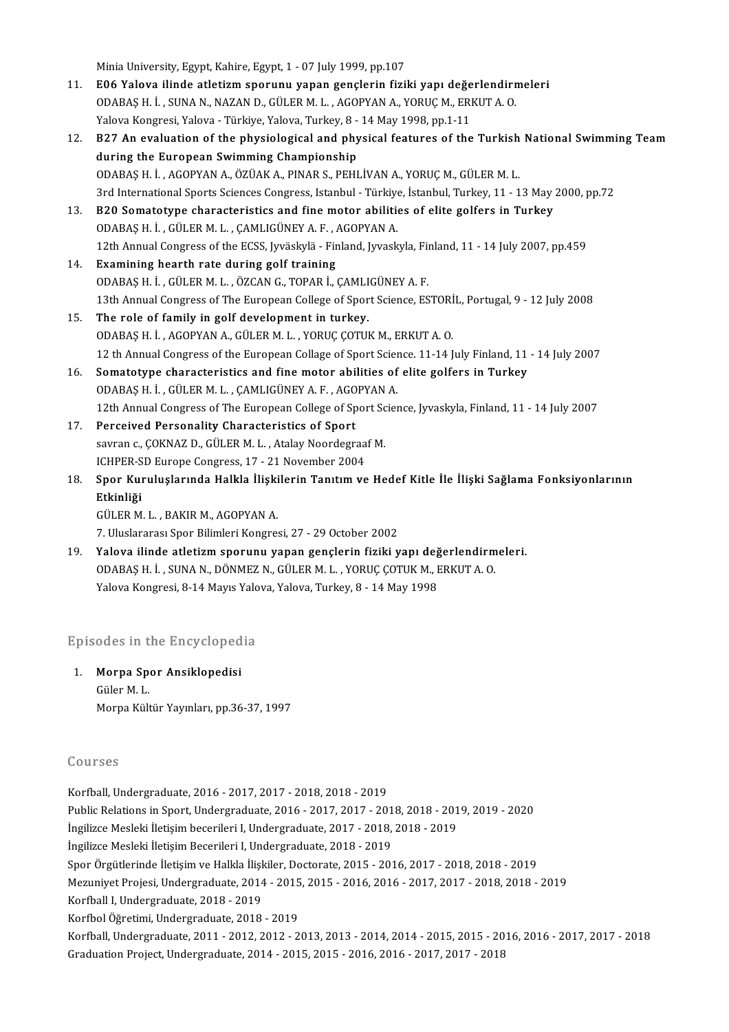Minia University, Egypt, Kahire, Egypt, 1 - 07 July 1999, pp.107

- Minia University, Egypt, Kahire, Egypt, 1 07 July 1999, pp.107<br>11. E06 Yalova ilinde atletizm sporunu yapan gençlerin fiziki yapı değerlendirmeleri<br>2004BAS H.İ. SUNAN NAZAND GÜLERM L. AGORYANA, YORUCM ERKUTA O Minia University, Egypt, Kahire, Egypt, 1 - 07 July 1999, pp.107<br>**E06 Yalova ilinde atletizm sporunu yapan gençlerin fiziki yapı değerlendiri**<br>ODABAŞ H. İ. , SUNA N., NAZAN D., GÜLER M. L. , AGOPYAN A., YORUÇ M., ERKUT A. ODABAS H. İ., SUNA N., NAZAN D., GÜLER M. L., AGOPYAN A., YORUC M., ERKUT A. O. Yalova Kongresi, Yalova - Türkiye, Yalova, Turkey, 8 - 14 May 1998, pp.1-11
- 12. B27 An evaluation of the physiological and physical features of the Turkish National Swimming Team ODABAŞH. İ. ,AGOPYANA.,ÖZÜAKA.,PINARS.,PEHLİVANA.,YORUÇM.,GÜLERM.L. 3rd International Sports Sciences Congress, Istanbul - Türkiye, İstanbul, Turkey, 11 - 13 May 2000, pp.72 ODABAŞ H. İ., AGOPYAN A., ÖZÜAK A., PINAR S., PEHLİVAN A., YORUÇ M., GÜLER M. L.<br>3rd International Sports Sciences Congress, Istanbul - Türkiye, İstanbul, Turkey, 11 - 13 May<br>13. B20 Somatotype characteristics and fine mot
- 3rd International Sports Sciences Congress, Istanbul Türkiye<br>**B20 Somatotype characteristics and fine motor abiliti**o<br>ODABAŞ H. İ. , GÜLER M. L. , ÇAMLIGÜNEY A. F. , AGOPYAN A.<br>12th Annual Congress of the EGSS, Iwöalyılö 120 Somatotype characteristics and fine motor abilities of elite golfers in Turkey<br>ODABAŞ H. İ. , GÜLER M. L. , ÇAMLIGÜNEY A. F. , AGOPYAN A.<br>12th Annual Congress of the ECSS, Jyväskylä - Finland, Jyvaskyla, Finland, 11 - 0DABAŞ H. İ. , GÜLER M. L. , ÇAMLIGÜNEY A. F. , AGOPYAN A.<br>12th Annual Congress of the ECSS, Jyväskylä - Finland, Jyvaskyla, Finland, 11 - 14 July 2007, pp.459<br>14. Examining hearth rate during golf training
- ODABAŞH. İ. ,GÜLERM.L. ,ÖZCANG.,TOPARİ.,ÇAMLIGÜNEYA.F. Examining hearth rate during golf training<br>ODABAŞ H. İ. , GÜLER M. L. , ÖZCAN G., TOPAR İ., ÇAMLIGÜNEY A. F.<br>13th Annual Congress of The European College of Sport Science, ESTORİL, Portugal, 9 - 12 July 2008<br>The role of fa
- 15. The role of family in golf development in turkey.<br>ODABAŞ H. İ., AGOPYAN A., GÜLER M. L., YORUÇ ÇOTUK M., ERKUT A. O. 13th Annual Congress of The European College of Sport Science, ESTORI<br>The role of family in golf development in turkey.<br>ODABAŞ H. İ. , AGOPYAN A., GÜLER M. L. , YORUÇ ÇOTUK M., ERKUT A. O.<br>12 th Annual Congress of the Euro The role of family in golf development in turkey.<br>ODABAŞ H. İ. , AGOPYAN A., GÜLER M. L. , YORUÇ ÇOTUK M., ERKUT A. O.<br>12 th Annual Congress of the European Collage of Sport Science. 11-14 July Finland, 11 - 14 July 2007<br>S 0DABAŞ H. İ., AGOPYAN A., GÜLER M. L., YORUÇ ÇOTUK M., ERKUT A. O.<br>12 th Annual Congress of the European Collage of Sport Science. 11-14 July Finland, 11<br>16. Somatotype characteristics and fine motor abilities of elite gol
- Somatotype characteristics and fine motor abilities of elite golfers in Turkey ODABAŞ H. İ., GÜLERM. L., ÇAMLIGÜNEY A. F., AGOPYAN A. Somatotype characteristics and fine motor abilities of elite golfers in Turkey<br>ODABAŞ H. İ. , GÜLER M. L. , ÇAMLIGÜNEY A. F. , AGOPYAN A.<br>12th Annual Congress of The European College of Sport Science, Jyvaskyla, Finland, 1
- 17. Perceived Personality Characteristics of Sport<br>savran c., COKNAZ D., GÜLER M. L., Atalay Noordegraaf M. 12th Annual Congress of The European College of Sport Sc<br>Perceived Personality Characteristics of Sport<br>savran c., ÇOKNAZ D., GÜLER M. L. , Atalay Noordegraaf M.<br>ICHPER SD Europe Congress 17, 21 November 2004 Perceived Personality Characteristics of Sport<br>savran c., ÇOKNAZ D., GÜLER M. L. , Atalay Noordegraa<br>ICHPER-SD Europe Congress, 17 - 21 November 2004<br>Spor Kuruluslarında Halkla İliskilerin Tanıtım ve
- savran c., ÇOKNAZ D., GÜLER M. L. , Atalay Noordegraaf M.<br>18. Spor Kuruluşlarında Halkla İlişkilerin Tanıtım ve Hedef Kitle İle İlişki Sağlama Fonksiyonlarının<br>Etkinliği ICHPER-S<br><mark>Spor Ku</mark>l<br>Etkinliği<br>CÜLER M Spor Kuruluşlarında Halkla İlişki<br>Etkinliği<br>GÜLER M. L. , BAKIR M., AGOPYAN A.<br>7. Huslararesi Spor Bilimleri Kongres **Etkinliği**<br>GÜLER M. L. , BAKIR M., AGOPYAN A.<br>7. Uluslararası Spor Bilimleri Kongresi, 27 - 29 October 2002

19. Yalova ilinde atletizmsporunu yapan gençlerin fiziki yapı değerlendirmeleri. 7. Uluslararası Spor Bilimleri Kongresi, 27 - 29 October 2002<br>Yalova ilinde atletizm sporunu yapan gençlerin fiziki yapı değerlendirm<br>ODABAŞ H. İ. , SUNA N., DÖNMEZ N., GÜLER M. L. , YORUÇ ÇOTUK M., ERKUT A. O.<br>Yalova Kong Yalova ilinde atletizm sporunu yapan gençlerin fiziki yapı değ<br>ODABAŞ H. İ. , SUNA N., DÖNMEZ N., GÜLER M. L. , YORUÇ ÇOTUK M., I<br>Yalova Kongresi, 8-14 Mayıs Yalova, Yalova, Turkey, 8 - 14 May 1998

# ralova Kongresi, 8-14 Mayıs ralo<br>Episodes in the Encyclopedia

ipisodes in the Encycloped<br>1. Morpa Spor Ansiklopedisi<br>Cülam L 1. Morpa Spor Ansiklopedisi<br>Güler M.L. Morpa Kültür Yayınları, pp.36-37, 1997

### Courses

Korfball, Undergraduate, 2016 - 2017, 2017 - 2018, 2018 - 2019 Pour Bes<br>Korfball, Undergraduate, 2016 - 2017, 2017 - 2018, 2018 - 2019<br>Public Relations in Sport, Undergraduate, 2016 - 2017, 2017 - 2018, 2018 - 2019, 2019 - 2020<br>Ingilizze Mesklij Ustisim beseriksij L Undergraduate, 201 Korfball, Undergraduate, 2016 - 2017, 2017 - 2018, 2018 - 2019<br>Public Relations in Sport, Undergraduate, 2016 - 2017, 2017 - 2018, 2018 - 201<br>İngilizce Mesleki İletişim becerileri I, Undergraduate, 2017 - 2018, 2018 - 2019 Public Relations in Sport, Undergraduate, 2016 - 2017, 2017 - 2013<br>İngilizce Mesleki İletişim becerileri I, Undergraduate, 2017 - 2018,<br>İngilizce Mesleki İletişim Becerileri I, Undergraduate, 2018 - 2019<br>Spor Örgütlerinde İngilizce Mesleki İletişim becerileri I, Undergraduate, 2017 - 2018, 2018 - 2019<br>İngilizce Mesleki İletişim Becerileri I, Undergraduate, 2018 - 2019<br>Spor Örgütlerinde İletişim ve Halkla İlişkiler, Doctorate, 2015 - 2016, 2 İngilizce Mesleki İletişim Becerileri I, Undergraduate, 2018 - 2019<br>Spor Örgütlerinde İletişim ve Halkla İlişkiler, Doctorate, 2015 - 2016, 2017 - 2018, 2018 - 2019<br>Mezuniyet Projesi, Undergraduate, 2014 - 2015, 2015 - 201 Spor Örgütlerinde İletişim ve Halkla İlişk<br>Mezuniyet Projesi, Undergraduate, 2014<br>Korfball I, Undergraduate, 2018 - 2019<br>Korfbal Öğretimi, Undergraduate, 2019 Mezuniyet Projesi, Undergraduate, 2014 - 2015<br>Korfball I, Undergraduate, 2018 - 2019<br>Korfbol Öğretimi, Undergraduate, 2018 - 2019<br>Korfball Undergraduate, 2011 - 2012-2012 Korfball I, Undergraduate, 2018 - 2019<br>Korfbol Öğretimi, Undergraduate, 2018 - 2019<br>Korfball, Undergraduate, 2011 - 2012, 2012 - 2013, 2013 - 2014, 2014 - 2015, 2015 - 2016, 2016 - 2017, 2017 - 2018<br>Craduation Project, Und Korfbol Öğretimi, Undergraduate, 2018 - 2019<br>Korfball, Undergraduate, 2011 - 2012, 2012 - 2013, 2013 - 2014, 2014 - 2015, 2015 - 20<br>Graduation Project, Undergraduate, 2014 - 2015, 2015 - 2016, 2016 - 2017, 2017 - 2018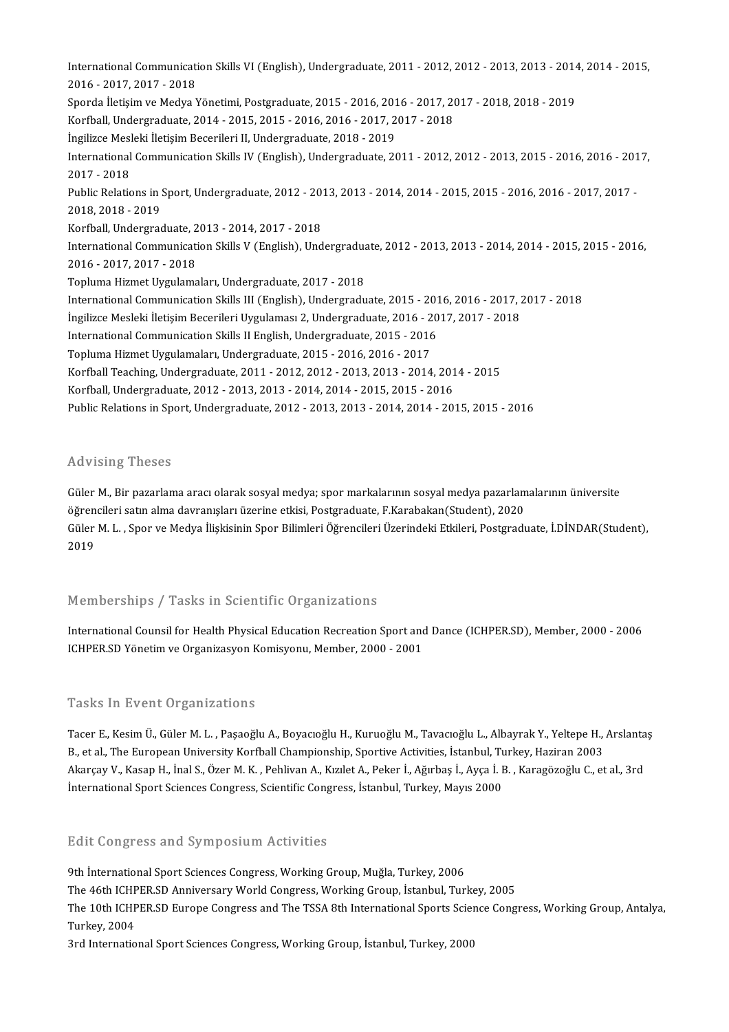International Communication Skills VI (English), Undergraduate, 2011 - 2012, 2012 - 2013, 2013 - 2014, 2014 - 2015,<br>2016 - 2017, 2017, 2019 International Communicati<br>2016 - 2017, 2017 - 2018<br>Sporda Ilatisim ve Medva V International Communication Skills VI (English), Undergraduate, 2011 - 2012, 2012 - 2013, 2013 - 2014<br>2016 - 2017, 2017 - 2018<br>Sporda İletişim ve Medya Yönetimi, Postgraduate, 2015 - 2016, 2016 - 2017, 2017 - 2018, 2018 - 2016 - 2017, 2017 - 2018<br>Sporda İletişim ve Medya Yönetimi, Postgraduate, 2015 - 2016, 2016 - 2017, 20<br>Korfball, Undergraduate, 2014 - 2015, 2015 - 2016, 2016 - 2017, 2017 - 2018<br>İngilizce Mesleki İletisim Beserileri II. U Sporda İletişim ve Medya Yönetimi, Postgraduate, 2015 - 2016, 201<br>Korfball, Undergraduate, 2014 - 2015, 2015 - 2016, 2016 - 2017, 2<br>İngilizce Mesleki İletişim Becerileri II, Undergraduate, 2018 - 2019<br>International Communi Korfball, Undergraduate, 2014 - 2015, 2015 - 2016, 2016 - 2017, 2017 - 2018<br>İngilizce Mesleki İletişim Becerileri II, Undergraduate, 2018 - 2019<br>International Communication Skills IV (English), Undergraduate, 2011 - 2012, İngilizce Mesleki İletişim Becerileri II, Undergraduate, 2018 - 2019<br>International Communication Skills IV (English), Undergraduate, 2<br>2017 - 2018 International Communication Skills IV (English), Undergraduate, 2011 - 2012, 2012 - 2013, 2015 - 2016, 2016 - 201<br>2017 - 2018<br>Public Relations in Sport, Undergraduate, 2012 - 2013, 2013 - 2014, 2014 - 2015, 2015 - 2016, 20 Public Relations in Sport, Undergraduate, 2012 - 2013, 2013 - 2014, 2014 - 2015, 2015 - 2016, 2016 - 2017, 2017 -<br>2018. 2018 - 2019 Public Relations in Sport, Undergraduate, 2012 - 20<br>2018, 2018 - 2019<br>Korfball, Undergraduate, 2013 - 2014, 2017 - 2018<br>International Communisation Skills V. (English), Und 2018, 2018 - 2019<br>Korfball, Undergraduate, 2013 - 2014, 2017 - 2018<br>International Communication Skills V (English), Undergraduate, 2012 - 2013, 2013 - 2014, 2014 - 2015, 2015 - 2016,<br>2016 - 2017, 2017, 2018 Korfball, Undergraduate, 2<br>International Communicati<br>2016 - 2017, 2017 - 2018<br>Tonluma Higmat Uygulama International Communication Skills V (English), Undergraduate, 2016 - 2017, 2017 - 2018<br>Topluma Hizmet Uygulamaları, Undergraduate, 2017 - 2018<br>International Communication Skills III (English), Undergradu 2016 - 2017, 2017 - 2018<br>Topluma Hizmet Uygulamaları, Undergraduate, 2017 - 2018<br>International Communication Skills III (English), Undergraduate, 2015 - 2016, 2016 - 2017, 2017 - 2018<br>İngilizce Mecklij İletisim Becerileri Topluma Hizmet Uygulamaları, Undergraduate, 2017 - 2018<br>International Communication Skills III (English), Undergraduate, 2015 - 2016, 2016 - 2017, 2<br>İngilizce Mesleki İletişim Becerileri Uygulaması 2, Undergraduate, 2016 -International Communication Skills III (English), Undergraduate, 2015 - 201<br>Ingilizce Mesleki İletişim Becerileri Uygulaması 2, Undergraduate, 2016 - 20<br>International Communication Skills II English, Undergraduate, 2015 - İngilizce Mesleki İletişim Becerileri Uygulaması 2, Undergraduate, 2016 - 2017, 2017 - 2018<br>International Communication Skills II English, Undergraduate, 2015 - 2016<br>Topluma Hizmet Uygulamaları, Undergraduate, 2015 - 2016, International Communication Skills II English, Undergraduate, 2015 - 2016<br>Topluma Hizmet Uygulamaları, Undergraduate, 2015 - 2016, 2016 - 2017<br>Korfball Teaching, Undergraduate, 2011 - 2012, 2012 - 2013, 2013 - 2014, 2014 -Topluma Hizmet Uygulamaları, Undergraduate, 2015 - 2016, 2016 - 2017<br>Korfball Teaching, Undergraduate, 2011 - 2012, 2012 - 2013, 2013 - 2014, 201<br>Korfball, Undergraduate, 2012 - 2013, 2013 - 2014, 2014 - 2015, 2015 - 2016<br> Korfball, Undergraduate, 2012 - 2013, 2013 - 2014, 2014 - 2015, 2015 - 2016<br>Public Relations in Sport, Undergraduate, 2012 - 2013, 2013 - 2014, 2014 - 2015, 2015 - 2016

### Advising Theses

Advising Theses<br>Güler M., Bir pazarlama aracı olarak sosyal medya; spor markalarının sosyal medya pazarlamalarının üniversite<br>öğrengileri satın alma dayranısları üzerine etkisi. Pestaradusta E.Karabalan(Student), 2020 rıcı vising "ricses"<br>Güler M., Bir pazarlama aracı olarak sosyal medya; spor markalarının sosyal medya pazarlam<br>öğrencileri satın alma davranışları üzerine etkisi, Postgraduate, F.Karabakan(Student), 2020<br>Güler M. L., Spor Güler M., Bir pazarlama aracı olarak sosyal medya; spor markalarının sosyal medya pazarlamalarının üniversite<br>öğrencileri satın alma davranışları üzerine etkisi, Postgraduate, F.Karabakan(Student), 2020<br>Güler M. L. , Spor öğren<br>Güler<br>2019 2019<br>Memberships / Tasks in Scientific Organizations

International Counsil for Health Physical Education Recreation Sport and Dance (ICHPER.SD), Member, 2000 - 2006 ICHPER.SD Yönetim ve Organizasyon Komisyonu, Member, 2000 - 2001

### Tasks In Event Organizations

Tasks In Event Organizations<br>Tacer E., Kesim Ü., Güler M. L. , Paşaoğlu A., Boyacıoğlu H., Kuruoğlu M., Tavacıoğlu L., Albayrak Y., Yeltepe H., Arslantaş<br>B. et al. The Euronean University Korfbell Championship Spertive Act Tasko III 2V sire organizationis<br>Tacer E., Kesim Ü., Güler M. L. , Paşaoğlu A., Boyacıoğlu H., Kuruoğlu M., Tavacıoğlu L., Albayrak Y., Yeltepe H.,<br>B., et al., The European University Korfball Championship, Sportive Activi Tacer E., Kesim Ü., Güler M. L. , Paşaoğlu A., Boyacıoğlu H., Kuruoğlu M., Tavacıoğlu L., Albayrak Y., Yeltepe H., Arslanta<br>B., et al., The European University Korfball Championship, Sportive Activities, İstanbul, Turkey, B., et al., The European University Korfball Championship, Sportive Activities, İstanbul, Turkey, Haziran 2003<br>Akarçay V., Kasap H., İnal S., Özer M. K. , Pehlivan A., Kızılet A., Peker İ., Ağırbaş İ., Ayça İ. B. , Karagöz

#### Edit Congress and Symposium Activities

9th International Sport Sciences Congress, Working Group, Muğla, Turkey, 2006 The 46th Ichlead Spart Sciences Congress, Working Group, Muğla, Turkey, 2006<br>The 46th ICHPER.SD Anniversary World Congress, Working Group, İstanbul, Turkey, 2005<br>The 10th ICHPER SD Europe Congress and The TSSA 8th Internat The 10th ICHPER.SD Europe Congress and The TSSA 8th International Sports Science Congress, Working Group, Antalya,<br>Turkey, 2004 The 46th ICHF<br>The 10th ICHF<br>Turkey, 2004<br><sup>2</sup>rd Internatio

3rd International Sport Sciences Congress, Working Group, İstanbul, Turkey, 2000